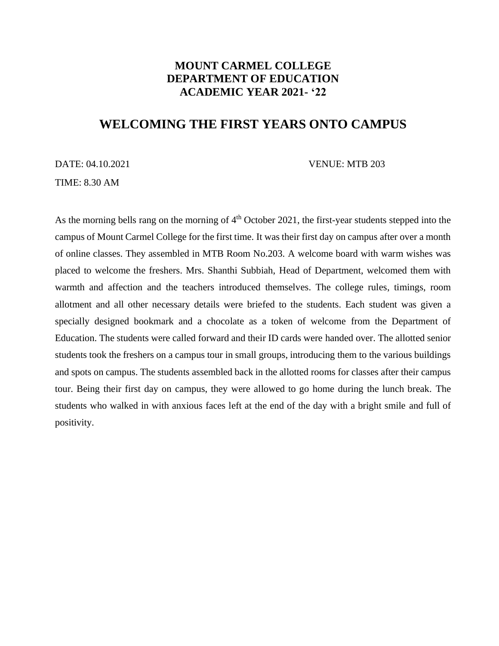## **MOUNT CARMEL COLLEGE DEPARTMENT OF EDUCATION ACADEMIC YEAR 2021- '22**

## **WELCOMING THE FIRST YEARS ONTO CAMPUS**

DATE: 04.10.2021 VENUE: MTB 203

TIME: 8.30 AM

As the morning bells rang on the morning of  $4<sup>th</sup>$  October 2021, the first-year students stepped into the campus of Mount Carmel College for the first time. It was their first day on campus after over a month of online classes. They assembled in MTB Room No.203. A welcome board with warm wishes was placed to welcome the freshers. Mrs. Shanthi Subbiah, Head of Department, welcomed them with warmth and affection and the teachers introduced themselves. The college rules, timings, room allotment and all other necessary details were briefed to the students. Each student was given a specially designed bookmark and a chocolate as a token of welcome from the Department of Education. The students were called forward and their ID cards were handed over. The allotted senior students took the freshers on a campus tour in small groups, introducing them to the various buildings and spots on campus. The students assembled back in the allotted rooms for classes after their campus tour. Being their first day on campus, they were allowed to go home during the lunch break. The students who walked in with anxious faces left at the end of the day with a bright smile and full of positivity.